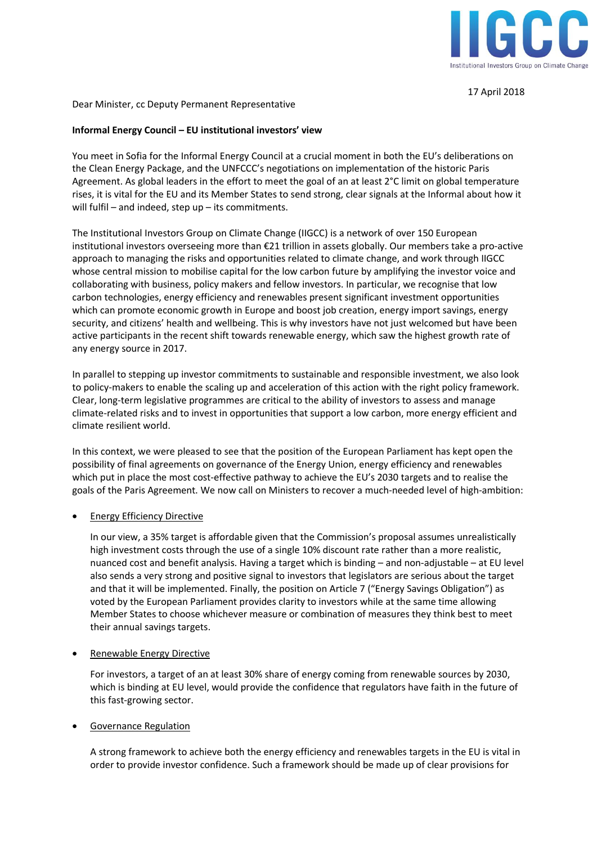

17 April 2018

Dear Minister, cc Deputy Permanent Representative

## **Informal Energy Council – EU institutional investors' view**

You meet in Sofia for the Informal Energy Council at a crucial moment in both the EU's deliberations on the Clean Energy Package, and the UNFCCC's negotiations on implementation of the historic Paris Agreement. As global leaders in the effort to meet the goal of an at least 2°C limit on global temperature rises, it is vital for the EU and its Member States to send strong, clear signals at the Informal about how it will fulfil – and indeed, step up – its commitments.

The Institutional Investors Group on Climate Change (IIGCC) is a network of over 150 European institutional investors overseeing more than €21 trillion in assets globally. Our members take a pro-active approach to managing the risks and opportunities related to climate change, and work through IIGCC whose central mission to mobilise capital for the low carbon future by amplifying the investor voice and collaborating with business, policy makers and fellow investors. In particular, we recognise that low carbon technologies, energy efficiency and renewables present significant investment opportunities which can promote economic growth in Europe and boost job creation, energy import savings, energy security, and citizens' health and wellbeing. This is why investors have not just welcomed but have been active participants in the recent shift towards renewable energy, which saw the highest growth rate of any energy source in 2017.

In parallel to stepping up investor commitments to sustainable and responsible investment, we also look to policy-makers to enable the scaling up and acceleration of this action with the right policy framework. Clear, long-term legislative programmes are critical to the ability of investors to assess and manage climate-related risks and to invest in opportunities that support a low carbon, more energy efficient and climate resilient world.

In this context, we were pleased to see that the position of the European Parliament has kept open the possibility of final agreements on governance of the Energy Union, energy efficiency and renewables which put in place the most cost-effective pathway to achieve the EU's 2030 targets and to realise the goals of the Paris Agreement. We now call on Ministers to recover a much-needed level of high-ambition:

## **Energy Efficiency Directive**

In our view, a 35% target is affordable given that the Commission's proposal assumes unrealistically high investment costs through the use of a single 10% discount rate rather than a more realistic, nuanced cost and benefit analysis. Having a target which is binding – and non-adjustable – at EU level also sends a very strong and positive signal to investors that legislators are serious about the target and that it will be implemented. Finally, the position on Article 7 ("Energy Savings Obligation") as voted by the European Parliament provides clarity to investors while at the same time allowing Member States to choose whichever measure or combination of measures they think best to meet their annual savings targets.

## • Renewable Energy Directive

For investors, a target of an at least 30% share of energy coming from renewable sources by 2030, which is binding at EU level, would provide the confidence that regulators have faith in the future of this fast-growing sector.

## • Governance Regulation

A strong framework to achieve both the energy efficiency and renewables targets in the EU is vital in order to provide investor confidence. Such a framework should be made up of clear provisions for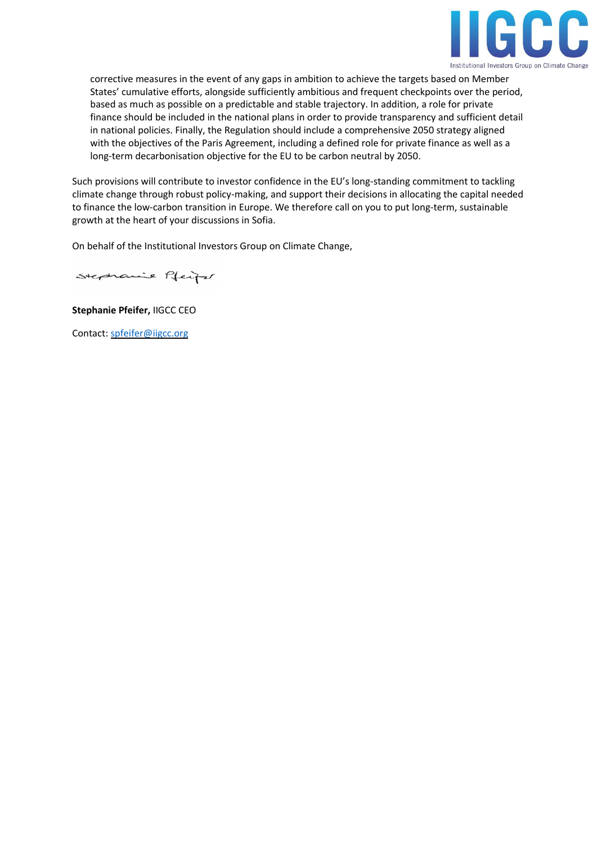

corrective measures in the event of any gaps in ambition to achieve the targets based on Member States' cumulative efforts, alongside sufficiently ambitious and frequent checkpoints over the period, based as much as possible on a predictable and stable trajectory. In addition, a role for private finance should be included in the national plans in order to provide transparency and sufficient detail in national policies. Finally, the Regulation should include a comprehensive 2050 strategy aligned with the objectives of the Paris Agreement, including a defined role for private finance as well as a long-term decarbonisation objective for the EU to be carbon neutral by 2050.

Such provisions will contribute to investor confidence in the EU's long-standing commitment to tackling climate change through robust policy-making, and support their decisions in allocating the capital needed to finance the low-carbon transition in Europe. We therefore call on you to put long-term, sustainable growth at the heart of your discussions in Sofia.

On behalf of the Institutional Investors Group on Climate Change,

Stephanie Pfeife

**Stephanie Pfeifer,** IIGCC CEO

Contact: [spfeifer@iigcc.org](mailto:spfeifer@iigcc.org)